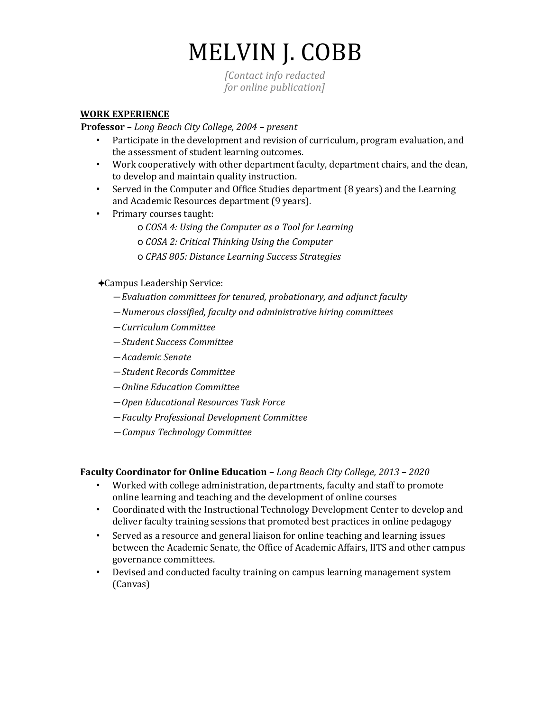# MELVIN J. COBB

*[Contact info redacted for online publication]*

## **WORK EXPERIENCE**

**Professor** *– Long Beach City College, 2004 – present* 

- Participate in the development and revision of curriculum, program evaluation, and the assessment of student learning outcomes.
- Work cooperatively with other department faculty, department chairs, and the dean, to develop and maintain quality instruction.
- Served in the Computer and Office Studies department (8 years) and the Learning and Academic Resources department (9 years).
- Primary courses taught:
	- o *COSA 4: Using the Computer as a Tool for Learning*
	- o *COSA 2: Critical Thinking Using the Computer*
	- o *CPAS 805: Distance Learning Success Strategies*
- Campus Leadership Service:
	- ⎯ *Evaluation committees for tenured, probationary, and adjunct faculty*
	- ⎯ *Numerous classified, faculty and administrative hiring committees*
	- ⎯ *Curriculum Committee*
	- ⎯ *Student Success Committee*
	- ⎯ *Academic Senate*
	- ⎯ *Student Records Committee*
	- ⎯ *Online Education Committee*
	- ⎯ *Open Educational Resources Task Force*
	- ⎯ *Faculty Professional Development Committee*
	- ⎯ *Campus Technology Committee*

## **Faculty Coordinator for Online Education** *– Long Beach City College, 2013 – 2020*

- Worked with college administration, departments, faculty and staff to promote online learning and teaching and the development of online courses
- Coordinated with the Instructional Technology Development Center to develop and deliver faculty training sessions that promoted best practices in online pedagogy
- Served as a resource and general liaison for online teaching and learning issues between the Academic Senate, the Office of Academic Affairs, IITS and other campus governance committees.
- Devised and conducted faculty training on campus learning management system (Canvas)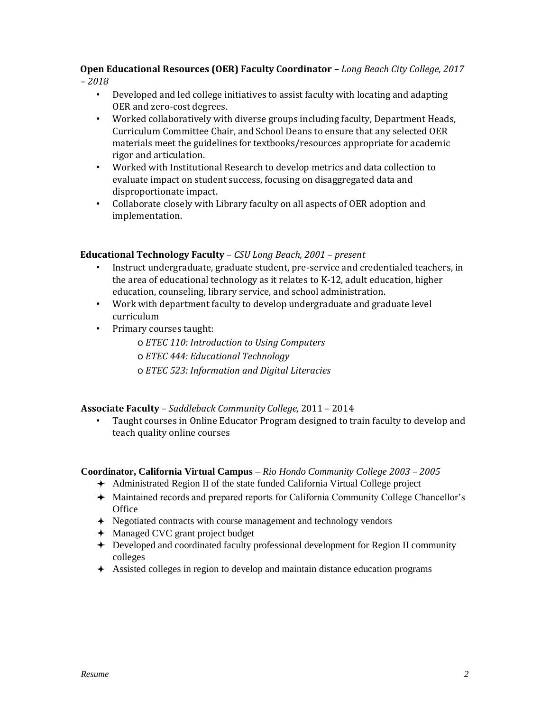## **Open Educational Resources (OER) Faculty Coordinator** *– Long Beach City College, 2017*

*– 2018*

- Developed and led college initiatives to assist faculty with locating and adapting OER and zero-cost degrees.
- Worked collaboratively with diverse groups including faculty, Department Heads, Curriculum Committee Chair, and School Deans to ensure that any selected OER materials meet the guidelines for textbooks/resources appropriate for academic rigor and articulation.
- Worked with Institutional Research to develop metrics and data collection to evaluate impact on student success, focusing on disaggregated data and disproportionate impact.
- Collaborate closely with Library faculty on all aspects of OER adoption and implementation.

## **Educational Technology Faculty** – *CSU Long Beach, 2001 – present*

- Instruct undergraduate, graduate student, pre-service and credentialed teachers, in the area of educational technology as it relates to K-12, adult education, higher education, counseling, library service, and school administration.
- Work with department faculty to develop undergraduate and graduate level curriculum
- Primary courses taught:

o *ETEC 110: Introduction to Using Computers* o *ETEC 444: Educational Technology* o *ETEC 523: Information and Digital Literacies*

## **Associate Faculty** – *Saddleback Community College,* 2011 – 2014

• Taught courses in Online Educator Program designed to train faculty to develop and teach quality online courses

## **Coordinator, California Virtual Campus** – *Rio Hondo Community College 2003 – 2005*

- Administrated Region II of the state funded California Virtual College project
- Maintained records and prepared reports for California Community College Chancellor's **Office**
- Negotiated contracts with course management and technology vendors
- $\triangleleft$  Managed CVC grant project budget
- Developed and coordinated faculty professional development for Region II community colleges
- Assisted colleges in region to develop and maintain distance education programs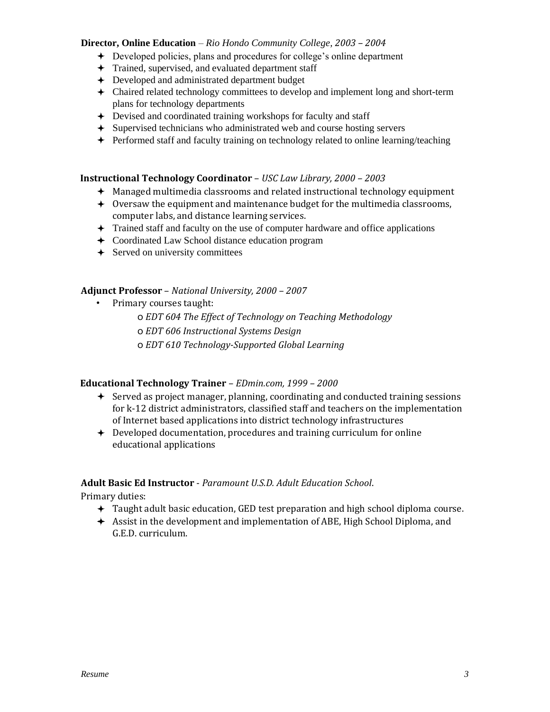#### **Director, Online Education** – *Rio Hondo Community College, 2003 – 2004*

- Developed policies, plans and procedures for college's online department
- $+$  Trained, supervised, and evaluated department staff
- Developed and administrated department budget
- Chaired related technology committees to develop and implement long and short-term plans for technology departments
- Devised and coordinated training workshops for faculty and staff
- Supervised technicians who administrated web and course hosting servers
- Performed staff and faculty training on technology related to online learning/teaching

## **Instructional Technology Coordinator** – *USC Law Library, 2000 – 2003*

- Managed multimedia classrooms and related instructional technology equipment
- $\triangleq$  Oversaw the equipment and maintenance budget for the multimedia classrooms, computer labs, and distance learning services.
- $\triangleq$  Trained staff and faculty on the use of computer hardware and office applications
- Coordinated Law School distance education program
- $\div$  Served on university committees

## **Adjunct Professor** – *National University, 2000 – 2007*

- Primary courses taught:
	- o *EDT 604 The Effect of Technology on Teaching Methodology*
	- o *EDT 606 Instructional Systems Design*
	- o *EDT 610 Technology-Supported Global Learning*

## **Educational Technology Trainer** – *EDmin.com, 1999 – 2000*

- $\div$  Served as project manager, planning, coordinating and conducted training sessions for k-12 district administrators, classified staff and teachers on the implementation of Internet based applications into district technology infrastructures
- Developed documentation, procedures and training curriculum for online educational applications

## **Adult Basic Ed Instructor** - *Paramount U.S.D. Adult Education School*.

Primary duties:

- Taught adult basic education, GED test preparation and high school diploma course.
- Assist in the development and implementation of ABE, High School Diploma, and G.E.D. curriculum.